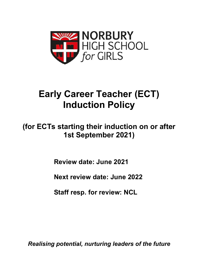

# **Early Career Teacher (ECT) Induction Policy**

## **(for ECTs starting their induction on or after 1st September 2021)**

**Review date: June 2021**

**Next review date: June 2022**

**Staff resp. for review: NCL**

*Realising potential, nurturing leaders of the future*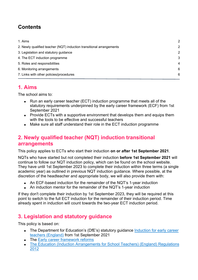## **Contents**

| 2              |
|----------------|
| 2              |
| 2              |
| 3              |
| $\overline{4}$ |
| 6              |
| 6              |
|                |

## **1. Aims**

The school aims to:

- Run an early career teacher (ECT) induction programme that meets all of the statutory requirements underpinned by the early career framework (ECF) from 1st September 2021
- Provide ECTs with a supportive environment that develops them and equips them with the tools to be effective and successful teachers
- Make sure all staff understand their role in the ECT induction programme

## **2. Newly qualified teacher (NQT) induction transitional arrangements**

This policy applies to ECTs who start their induction **on or after 1st September 2021**.

NQTs who have started but not completed their induction **before 1st September 2021** will continue to follow our NQT induction policy, which can be found on the school website. They have until 1st September 2023 to complete their induction within three terms (a single academic year) as outlined in previous NQT induction guidance. Where possible, at the discretion of the headteacher and appropriate body, we will also provide them with:

- An ECF-based induction for the remainder of the NQT's 1-year induction
- An induction mentor for the remainder of the NQT's 1-year induction

If they don't complete their induction by 1st September 2023, they will be required at this point to switch to the full ECT induction for the remainder of their induction period. Time already spent in induction will count towards the two-year ECT induction period.

## **3. Legislation and statutory guidance**

This policy is based on:

- The Department for Education's (DfE's) statutory guidance Induction for early career teachers (England) from 1st September 2021
- The Early career framework reforms
- The Education (Induction Arrangements for School Teachers) (England) Regulations 2012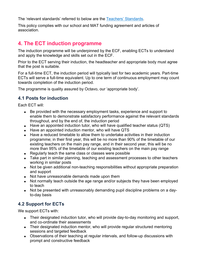The 'relevant standards' referred to below are the Teachers' Standards.

This policy complies with our school and MAT funding agreement and articles of association.

### **4. The ECT induction programme**

The induction programme will be underpinned by the ECF, enabling ECTs to understand and apply the knowledge and skills set out in the ECF.

Prior to the ECT serving their induction, the headteacher and appropriate body must agree that the post is suitable.

For a full-time ECT, the induction period will typically last for two academic years. Part-time ECTs will serve a full-time equivalent. Up to one term of continuous employment may count towards completion of the induction period.

The programme is quality assured by Octavo, our 'appropriate body'.

#### **4.1 Posts for induction**

Each ECT will:

- Be provided with the necessary employment tasks, experience and support to enable them to demonstrate satisfactory performance against the relevant standards throughout, and by the end of, the induction period
- Have an appointed induction tutor, who will have qualified teacher status (QTS)
- Have an appointed induction mentor, who will have QTS
- Have a reduced timetable to allow them to undertake activities in their induction programme; in their first year, this will be no more than 90% of the timetable of our existing teachers on the main pay range, and in their second year, this will be no more than 95% of the timetable of our existing teachers on the main pay range
- Regularly teach the same class or classes were possible
- Take part in similar planning, teaching and assessment processes to other teachers working in similar posts
- Not be given additional non-teaching responsibilities without appropriate preparation and support
- Not have unreasonable demands made upon them
- Not normally teach outside the age range and/or subjects they have been employed to teach
- Not be presented with unreasonably demanding pupil discipline problems on a dayto-day basis

#### **4.2 Support for ECTs**

We support ECTs with:

- Their designated induction tutor, who will provide day-to-day monitoring and support, and co-ordinate their assessments
- Their designated induction mentor, who will provide regular structured mentoring sessions and targeted feedback
- Observations of their teaching at regular intervals, and follow-up discussions with prompt and constructive feedback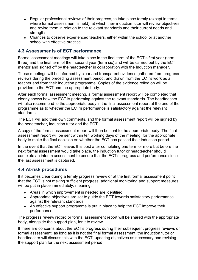- Regular professional reviews of their progress, to take place termly (except in terms where formal assessment is held), at which their induction tutor will review objectives and revise them in relation to the relevant standards and their current needs and strengths
- Chances to observe experienced teachers, either within the school or at another school with effective practice

#### **4.3 Assessments of ECT performance**

Formal assessment meetings will take place in the final term of the ECT's first year (term three) and the final term of their second year (term six) and will be carried out by the ECT mentor and signed off by the headteacher in collaboration with the Induction manager.

These meetings will be informed by clear and transparent evidence gathered from progress reviews during the preceding assessment period, and drawn from the ECT's work as a teacher and from their induction programme. Copies of the evidence relied on will be provided to the ECT and the appropriate body.

After each formal assessment meeting, a formal assessment report will be completed that clearly shows how the ECT is performing against the relevant standards. The headteacher will also recommend to the appropriate body in the final assessment report at the end of the programme as to whether the ECT's performance is satisfactory against the relevant standards.

The ECT will add their own comments, and the formal assessment report will be signed by the headteacher, induction tutor and the ECT.

A copy of the formal assessment report will then be sent to the appropriate body. The final assessment report will be sent within ten working days of the meeting, for the appropriate body to make the final decision on whether the ECT has passed their induction period.

In the event that the ECT leaves this post after completing one term or more but before the next formal assessment would take place, the induction tutor or headteacher should complete an interim assessment to ensure that the ECT's progress and performance since the last assessment is captured.

#### **4.4 At-risk procedures**

If it becomes clear during a termly progress review or at the first formal assessment point that the ECT is not making sufficient progress, additional monitoring and support measures will be put in place immediately, meaning:

- Areas in which improvement is needed are identified
- Appropriate objectives are set to guide the ECT towards satisfactory performance against the relevant standards
- An effective support programme is put in place to help the ECT improve their performance

The progress review record or formal assessment report will be shared with the appropriate body, alongside the support plan, for it to review.

If there are concerns about the ECT's progress during their subsequent progress reviews or formal assessment, as long as it is not the final formal assessment, the induction tutor or headteacher will discuss this with the ECT, updating objectives as necessary and revising the support plan for the next assessment period.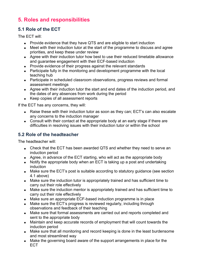## **5. Roles and responsibilities**

#### **5.1 Role of the ECT**

The ECT will:

- Provide evidence that they have QTS and are eligible to start induction
- Meet with their induction tutor at the start of the programme to discuss and agree priorities, and keep these under review
- Agree with their induction tutor how best to use their reduced timetable allowance and guarantee engagement with their ECF-based induction
- Provide evidence of their progress against the relevant standards
- Participate fully in the monitoring and development programme with the local teaching hub
- Participate in scheduled classroom observations, progress reviews and formal assessment meetings
- Agree with their induction tutor the start and end dates of the induction period, and the dates of any absences from work during the period
- Keep copies of all assessment reports

If the ECT has any concerns, they will:

- Raise these with their induction tutor as soon as they can: ECT's can also escalate any concerns to the induction manager
- Consult with their contact at the appropriate body at an early stage if there are difficulties in resolving issues with their induction tutor or within the school

#### **5.2 Role of the headteacher**

The headteacher will:

- Check that the ECT has been awarded QTS and whether they need to serve an induction period
- Agree, in advance of the ECT starting, who will act as the appropriate body
- Notify the appropriate body when an ECT is taking up a post and undertaking induction
- Make sure the ECT's post is suitable according to statutory quidance (see section 4.1 above)
- Make sure the induction tutor is appropriately trained and has sufficient time to carry out their role effectively
- Make sure the induction mentor is appropriately trained and has sufficient time to carry out their role effectively
- Make sure an appropriate ECF-based induction programme is in place
- Make sure the ECT's progress is reviewed regularly, including through observations and feedback of their teaching
- Make sure that formal assessments are carried out and reports completed and sent to the appropriate body
- Maintain and keep accurate records of employment that will count towards the induction period
- Make sure that all monitoring and record keeping is done in the least burdensome and most streamlined way
- Make the governing board aware of the support arrangements in place for the ECT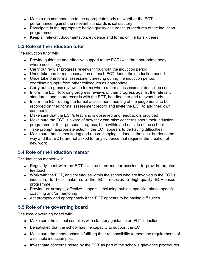- Make a recommendation to the appropriate body on whether the ECT's performance against the relevant standards is satisfactory
- Participate in the appropriate body's quality assurance procedures of the induction programmes
- Keep all relevant documentation, evidence and forms on file for six years

#### **5.3 Role of the induction tutor**

The induction tutor will:

- Provide quidance and effective support to the ECT (with the appropriate body where necessary)
- Carry out regular progress reviews throughout the induction period
- Undertake one formal observation on each ECT during their induction period
- Undertake one formal assessment meeting during the induction period, coordinating input from other colleagues as appropriate
- Carry out progress reviews in terms where a formal assessment doesn't occur
- Inform the ECT following progress reviews of their progress against the relevant standards, and share records with the ECT, headteacher and relevant body
- Inform the ECT during the formal assessment meeting of the judgements to be recorded on their formal assessment record and invite the ECT to add their own comments
- Make sure that the ECT's teaching is observed and feedback is provided
- Make sure the ECT is aware of how they can raise concerns about their induction programme or their personal progress, both within and outside of the school
- Take prompt, appropriate action if the ECT appears to be having difficulties
- Make sure that all monitoring and record keeping is done in the least burdensome way and that ECTs are not asked for any evidence that requires the creation of new work

#### **5.4 Role of the induction mentor**

The induction mentor will:

- Regularly meet with the ECT for structured mentor sessions to provide targeted feedback
- Work with the ECT, and colleagues within the school who are involved in the ECT's induction, to help make sure the ECT receives a high-quality ECF-based programme
- Provide, or arrange, effective support including subject-specific, phase-specific, coaching and/or mentoring
- Act promptly and appropriately if the ECT appears to be having difficulties

#### **5.5 Role of the governing board**

The local governing board will:

- Make sure the school complies with statutory guidance on ECT induction
- Be satisfied that the school has the capacity to support the ECT
- Make sure the headteacher is fulfilling their responsibility to meet the requirements of a suitable induction post
- Investigate concerns raised by the ECT as part of the school's grievance procedures